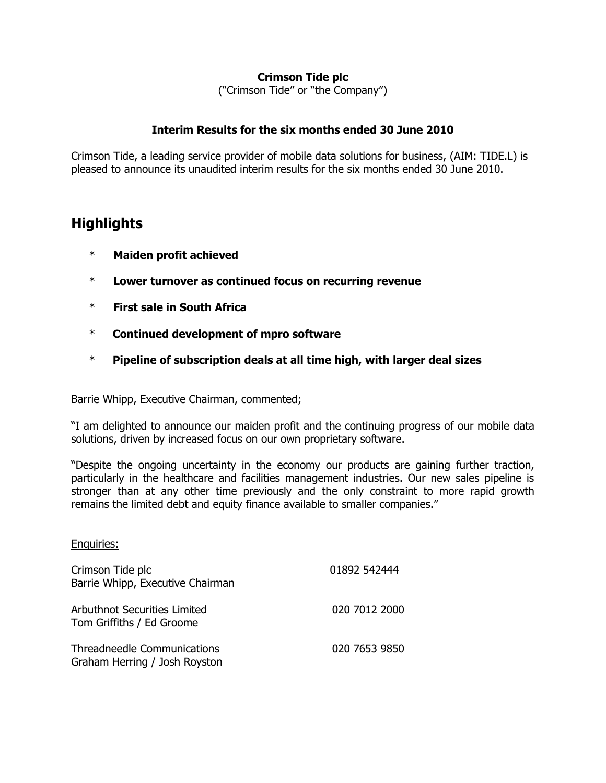## **Crimson Tide plc**

("Crimson Tide" or "the Company")

### **Interim Results for the six months ended 30 June 2010**

Crimson Tide, a leading service provider of mobile data solutions for business, (AIM: TIDE.L) is pleased to announce its unaudited interim results for the six months ended 30 June 2010.

# **Highlights**

- \* **Maiden profit achieved**
- \* **Lower turnover as continued focus on recurring revenue**
- \* **First sale in South Africa**
- \* **Continued development of mpro software**
- \* **Pipeline of subscription deals at all time high, with larger deal sizes**

Barrie Whipp, Executive Chairman, commented;

"I am delighted to announce our maiden profit and the continuing progress of our mobile data solutions, driven by increased focus on our own proprietary software.

"Despite the ongoing uncertainty in the economy our products are gaining further traction, particularly in the healthcare and facilities management industries. Our new sales pipeline is stronger than at any other time previously and the only constraint to more rapid growth remains the limited debt and equity finance available to smaller companies."

#### Enquiries:

| Crimson Tide plc<br>Barrie Whipp, Executive Chairman                | 01892 542444  |
|---------------------------------------------------------------------|---------------|
| <b>Arbuthnot Securities Limited</b><br>Tom Griffiths / Ed Groome    | 020 7012 2000 |
| <b>Threadneedle Communications</b><br>Graham Herring / Josh Royston | 020 7653 9850 |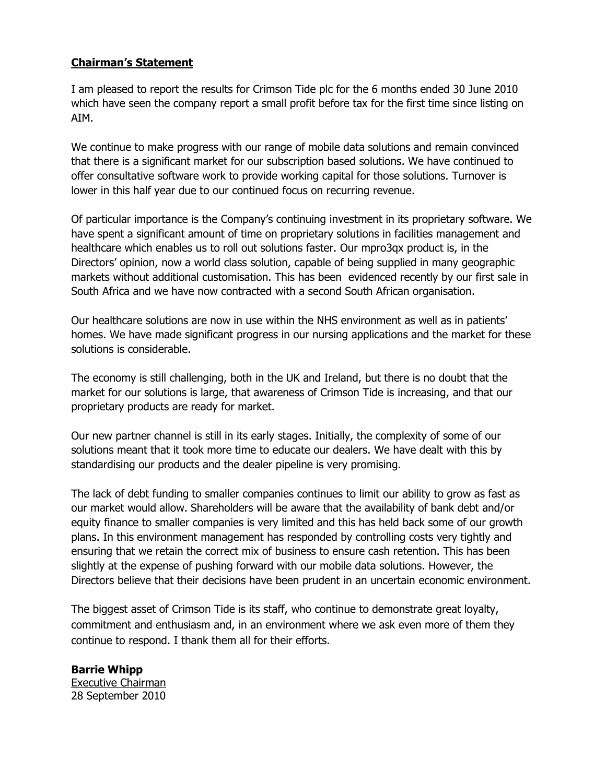### **Chairman's Statement**

I am pleased to report the results for Crimson Tide plc for the 6 months ended 30 June 2010 which have seen the company report a small profit before tax for the first time since listing on AIM.

We continue to make progress with our range of mobile data solutions and remain convinced that there is a significant market for our subscription based solutions. We have continued to offer consultative software work to provide working capital for those solutions. Turnover is lower in this half year due to our continued focus on recurring revenue.

Of particular importance is the Company's continuing investment in its proprietary software. We have spent a significant amount of time on proprietary solutions in facilities management and healthcare which enables us to roll out solutions faster. Our mpro3qx product is, in the Directors' opinion, now a world class solution, capable of being supplied in many geographic markets without additional customisation. This has been evidenced recently by our first sale in South Africa and we have now contracted with a second South African organisation.

Our healthcare solutions are now in use within the NHS environment as well as in patients' homes. We have made significant progress in our nursing applications and the market for these solutions is considerable.

The economy is still challenging, both in the UK and Ireland, but there is no doubt that the market for our solutions is large, that awareness of Crimson Tide is increasing, and that our proprietary products are ready for market.

Our new partner channel is still in its early stages. Initially, the complexity of some of our solutions meant that it took more time to educate our dealers. We have dealt with this by standardising our products and the dealer pipeline is very promising.

The lack of debt funding to smaller companies continues to limit our ability to grow as fast as our market would allow. Shareholders will be aware that the availability of bank debt and/or equity finance to smaller companies is very limited and this has held back some of our growth plans. In this environment management has responded by controlling costs very tightly and ensuring that we retain the correct mix of business to ensure cash retention. This has been slightly at the expense of pushing forward with our mobile data solutions. However, the Directors believe that their decisions have been prudent in an uncertain economic environment.

The biggest asset of Crimson Tide is its staff, who continue to demonstrate great loyalty, commitment and enthusiasm and, in an environment where we ask even more of them they continue to respond. I thank them all for their efforts.

**Barrie Whipp** Executive Chairman 28 September 2010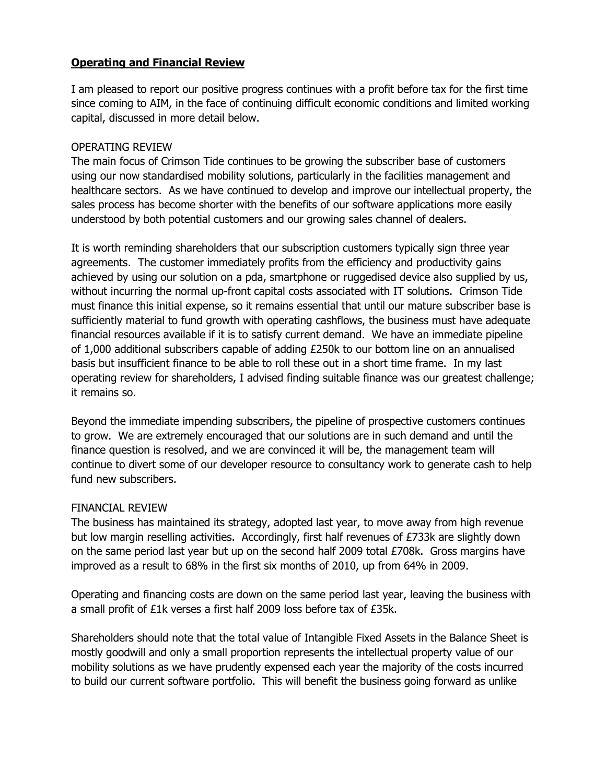## **Operating and Financial Review**

I am pleased to report our positive progress continues with a profit before tax for the first time since coming to AIM, in the face of continuing difficult economic conditions and limited working capital, discussed in more detail below.

### OPERATING REVIEW

The main focus of Crimson Tide continues to be growing the subscriber base of customers using our now standardised mobility solutions, particularly in the facilities management and healthcare sectors. As we have continued to develop and improve our intellectual property, the sales process has become shorter with the benefits of our software applications more easily understood by both potential customers and our growing sales channel of dealers.

It is worth reminding shareholders that our subscription customers typically sign three year agreements. The customer immediately profits from the efficiency and productivity gains achieved by using our solution on a pda, smartphone or ruggedised device also supplied by us, without incurring the normal up-front capital costs associated with IT solutions. Crimson Tide must finance this initial expense, so it remains essential that until our mature subscriber base is sufficiently material to fund growth with operating cashflows, the business must have adequate financial resources available if it is to satisfy current demand. We have an immediate pipeline of 1,000 additional subscribers capable of adding £250k to our bottom line on an annualised basis but insufficient finance to be able to roll these out in a short time frame. In my last operating review for shareholders, I advised finding suitable finance was our greatest challenge; it remains so.

Beyond the immediate impending subscribers, the pipeline of prospective customers continues to grow. We are extremely encouraged that our solutions are in such demand and until the finance question is resolved, and we are convinced it will be, the management team will continue to divert some of our developer resource to consultancy work to generate cash to help fund new subscribers.

### FINANCIAL REVIEW

The business has maintained its strategy, adopted last year, to move away from high revenue but low margin reselling activities. Accordingly, first half revenues of £733k are slightly down on the same period last year but up on the second half 2009 total £708k. Gross margins have improved as a result to 68% in the first six months of 2010, up from 64% in 2009.

Operating and financing costs are down on the same period last year, leaving the business with a small profit of £1k verses a first half 2009 loss before tax of £35k.

Shareholders should note that the total value of Intangible Fixed Assets in the Balance Sheet is mostly goodwill and only a small proportion represents the intellectual property value of our mobility solutions as we have prudently expensed each year the majority of the costs incurred to build our current software portfolio. This will benefit the business going forward as unlike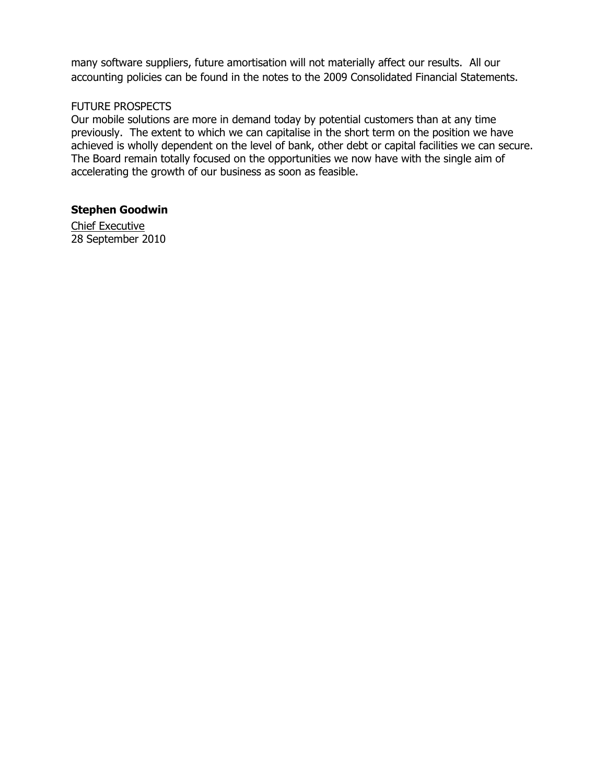many software suppliers, future amortisation will not materially affect our results. All our accounting policies can be found in the notes to the 2009 Consolidated Financial Statements.

### FUTURE PROSPECTS

Our mobile solutions are more in demand today by potential customers than at any time previously. The extent to which we can capitalise in the short term on the position we have achieved is wholly dependent on the level of bank, other debt or capital facilities we can secure. The Board remain totally focused on the opportunities we now have with the single aim of accelerating the growth of our business as soon as feasible.

### **Stephen Goodwin**

Chief Executive 28 September 2010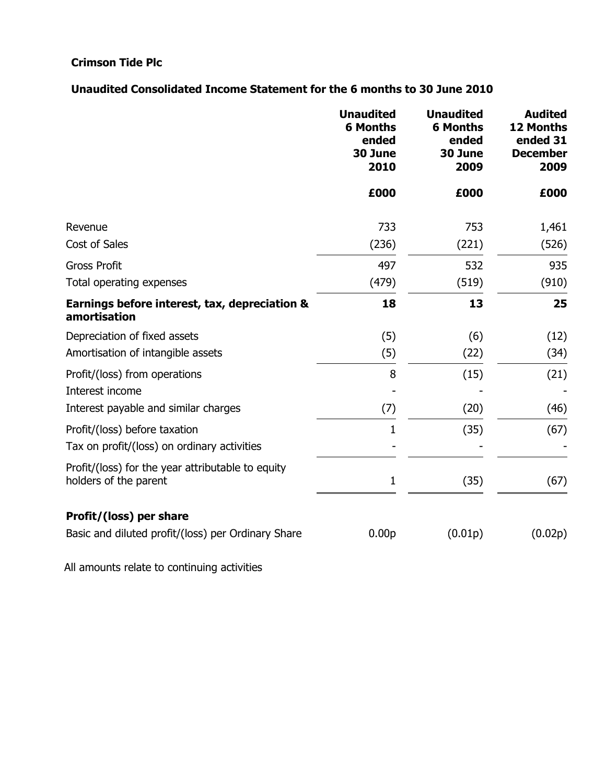# **Crimson Tide Plc**

## **Unaudited Consolidated Income Statement for the 6 months to 30 June 2010**

|                                                                            | <b>Unaudited</b><br><b>6 Months</b><br>ended<br>30 June<br>2010 | <b>Unaudited</b><br><b>6 Months</b><br>ended<br>30 June<br>2009 | <b>Audited</b><br><b>12 Months</b><br>ended 31<br><b>December</b><br>2009 |
|----------------------------------------------------------------------------|-----------------------------------------------------------------|-----------------------------------------------------------------|---------------------------------------------------------------------------|
|                                                                            | £000                                                            | £000                                                            | £000                                                                      |
| Revenue                                                                    | 733                                                             | 753                                                             | 1,461                                                                     |
| Cost of Sales                                                              | (236)                                                           | (221)                                                           | (526)                                                                     |
| <b>Gross Profit</b>                                                        | 497                                                             | 532                                                             | 935                                                                       |
| Total operating expenses                                                   | (479)                                                           | (519)                                                           | (910)                                                                     |
| Earnings before interest, tax, depreciation &<br>amortisation              | 18                                                              | 13                                                              | 25                                                                        |
| Depreciation of fixed assets                                               | (5)                                                             | (6)                                                             | (12)                                                                      |
| Amortisation of intangible assets                                          | (5)                                                             | (22)                                                            | (34)                                                                      |
| Profit/(loss) from operations                                              | 8                                                               | (15)                                                            | (21)                                                                      |
| Interest income                                                            |                                                                 |                                                                 |                                                                           |
| Interest payable and similar charges                                       | (7)                                                             | (20)                                                            | (46)                                                                      |
| Profit/(loss) before taxation                                              | 1                                                               | (35)                                                            | (67)                                                                      |
| Tax on profit/(loss) on ordinary activities                                |                                                                 |                                                                 |                                                                           |
| Profit/(loss) for the year attributable to equity<br>holders of the parent | $\mathbf 1$                                                     | (35)                                                            | (67)                                                                      |
| Profit/(loss) per share                                                    |                                                                 |                                                                 |                                                                           |
| Basic and diluted profit/(loss) per Ordinary Share                         | 0.00 <sub>p</sub>                                               | (0.01p)                                                         | (0.02p)                                                                   |

All amounts relate to continuing activities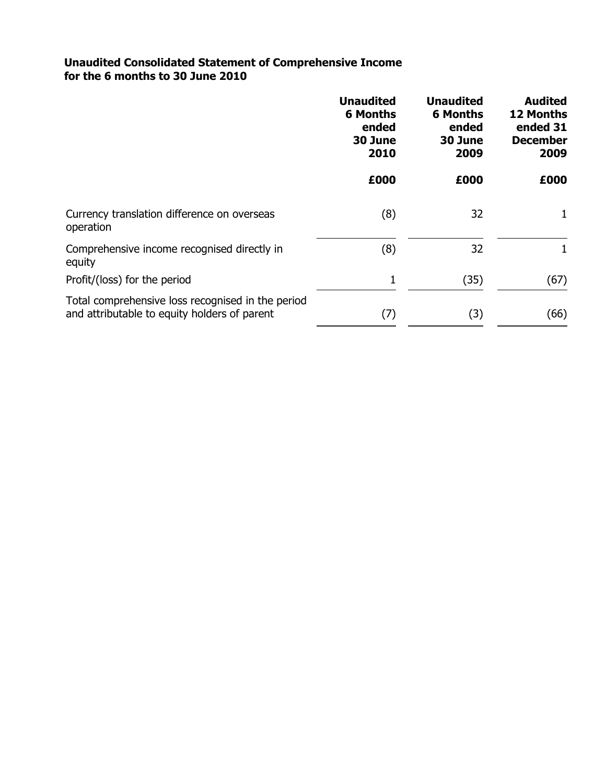### **Unaudited Consolidated Statement of Comprehensive Income for the 6 months to 30 June 2010**

|                                                                                                   | <b>Unaudited</b><br><b>6 Months</b><br>ended<br>30 June<br>2010 | <b>Unaudited</b><br><b>6 Months</b><br>ended<br>30 June<br>2009 | <b>Audited</b><br><b>12 Months</b><br>ended 31<br><b>December</b><br>2009 |
|---------------------------------------------------------------------------------------------------|-----------------------------------------------------------------|-----------------------------------------------------------------|---------------------------------------------------------------------------|
|                                                                                                   | £000                                                            | £000                                                            | £000                                                                      |
| Currency translation difference on overseas<br>operation                                          | (8)                                                             | 32                                                              | 1                                                                         |
| Comprehensive income recognised directly in<br>equity                                             | (8)                                                             | 32                                                              | 1                                                                         |
| Profit/(loss) for the period                                                                      | 1                                                               | (35)                                                            | (67)                                                                      |
| Total comprehensive loss recognised in the period<br>and attributable to equity holders of parent | (7)                                                             | (3)                                                             | (66)                                                                      |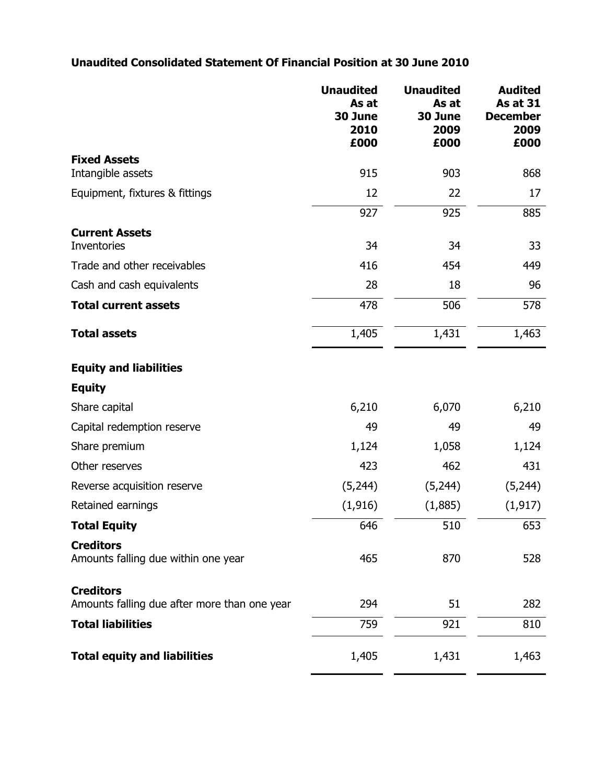# **Unaudited Consolidated Statement Of Financial Position at 30 June 2010**

|                                                                  | <b>Unaudited</b><br>As at<br>30 June<br>2010<br>£000 | <b>Unaudited</b><br>As at<br>30 June<br>2009<br>£000 | <b>Audited</b><br><b>As at 31</b><br><b>December</b><br>2009<br>£000 |
|------------------------------------------------------------------|------------------------------------------------------|------------------------------------------------------|----------------------------------------------------------------------|
| <b>Fixed Assets</b>                                              |                                                      |                                                      |                                                                      |
| Intangible assets                                                | 915                                                  | 903                                                  | 868                                                                  |
| Equipment, fixtures & fittings                                   | 12                                                   | 22                                                   | 17                                                                   |
|                                                                  | 927                                                  | 925                                                  | 885                                                                  |
| <b>Current Assets</b><br>Inventories                             | 34                                                   | 34                                                   | 33                                                                   |
| Trade and other receivables                                      | 416                                                  | 454                                                  | 449                                                                  |
| Cash and cash equivalents                                        | 28                                                   | 18                                                   | 96                                                                   |
| <b>Total current assets</b>                                      | 478                                                  | 506                                                  | 578                                                                  |
| <b>Total assets</b>                                              | 1,405                                                | 1,431                                                | 1,463                                                                |
| <b>Equity and liabilities</b>                                    |                                                      |                                                      |                                                                      |
| <b>Equity</b>                                                    |                                                      |                                                      |                                                                      |
| Share capital                                                    | 6,210                                                | 6,070                                                | 6,210                                                                |
| Capital redemption reserve                                       | 49                                                   | 49                                                   | 49                                                                   |
| Share premium                                                    | 1,124                                                | 1,058                                                | 1,124                                                                |
| Other reserves                                                   | 423                                                  | 462                                                  | 431                                                                  |
| Reverse acquisition reserve                                      | (5,244)                                              | (5,244)                                              | (5,244)                                                              |
| Retained earnings                                                | (1, 916)                                             | (1,885)                                              | (1, 917)                                                             |
| <b>Total Equity</b>                                              | 646                                                  | 510                                                  | 653                                                                  |
| <b>Creditors</b><br>Amounts falling due within one year          | 465                                                  | 870                                                  | 528                                                                  |
| <b>Creditors</b><br>Amounts falling due after more than one year | 294                                                  | 51                                                   | 282                                                                  |
| <b>Total liabilities</b>                                         | 759                                                  | 921                                                  | 810                                                                  |
| <b>Total equity and liabilities</b>                              | 1,405                                                | 1,431                                                | 1,463                                                                |
|                                                                  |                                                      |                                                      |                                                                      |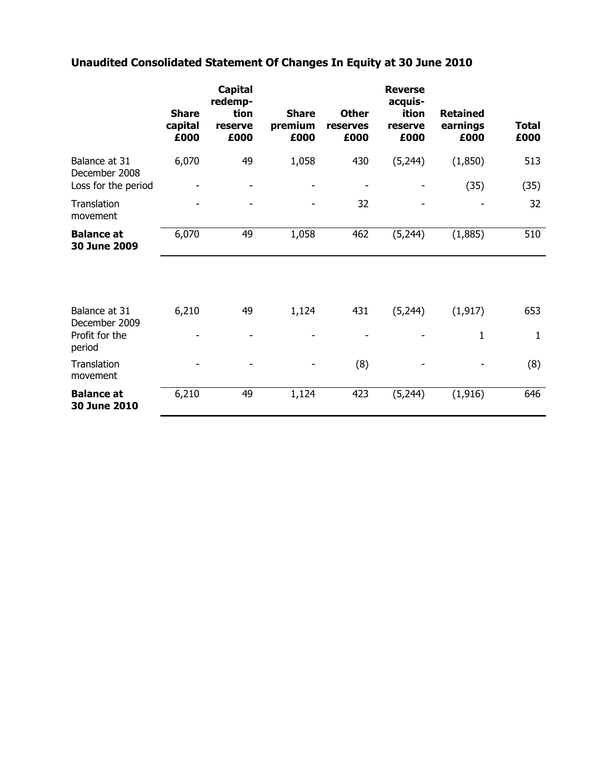# **Unaudited Consolidated Statement Of Changes In Equity at 30 June 2010**

|                                                       | <b>Share</b><br>capital<br>£000 | <b>Capital</b><br>redemp-<br>tion<br>reserve<br>£000 | <b>Share</b><br>premium<br>£000 | <b>Other</b><br>reserves<br>£000 | <b>Reverse</b><br>acquis-<br>ition<br>reserve<br>£000 | <b>Retained</b><br>earnings<br>£000 | <b>Total</b><br>£000 |
|-------------------------------------------------------|---------------------------------|------------------------------------------------------|---------------------------------|----------------------------------|-------------------------------------------------------|-------------------------------------|----------------------|
| Balance at 31<br>December 2008<br>Loss for the period | 6,070                           | 49<br>$\overline{\phantom{0}}$                       | 1,058                           | 430<br>$\overline{\phantom{a}}$  | (5,244)                                               | (1,850)<br>(35)                     | 513<br>(35)          |
| Translation<br>movement                               |                                 |                                                      |                                 | 32                               |                                                       |                                     | 32                   |
| <b>Balance at</b><br>30 June 2009                     | 6,070                           | 49                                                   | 1,058                           | 462                              | (5, 244)                                              | (1,885)                             | 510                  |
|                                                       |                                 |                                                      |                                 |                                  |                                                       |                                     |                      |
| Balance at 31<br>December 2009                        | 6,210                           | 49                                                   | 1,124                           | 431                              | (5,244)                                               | (1, 917)                            | 653                  |
| Profit for the<br>period                              |                                 |                                                      |                                 |                                  |                                                       | 1                                   | $\mathbf{1}$         |
| Translation<br>movement                               |                                 |                                                      |                                 | (8)                              |                                                       |                                     | (8)                  |
| <b>Balance at</b><br>30 June 2010                     | 6,210                           | 49                                                   | 1,124                           | 423                              | (5,244)                                               | (1, 916)                            | 646                  |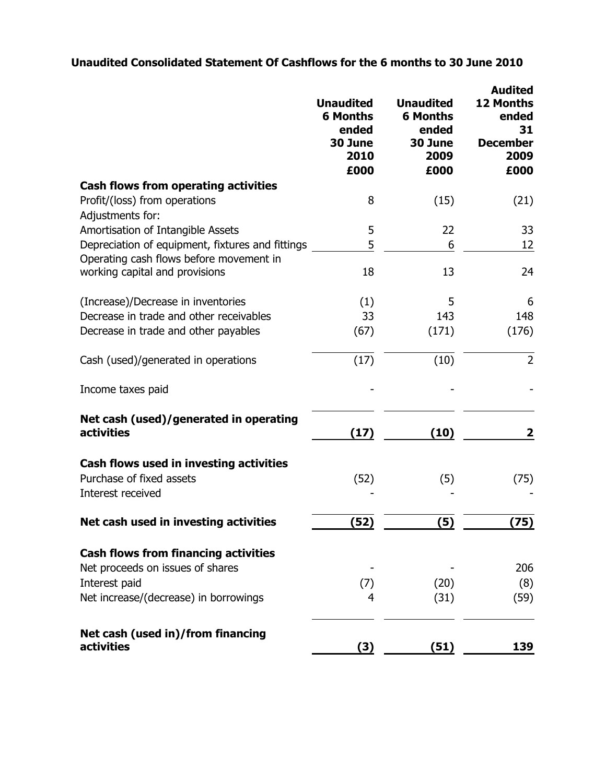# **Unaudited Consolidated Statement Of Cashflows for the 6 months to 30 June 2010**

|                                                                                          | <b>Unaudited</b><br><b>6 Months</b><br>ended<br>30 June<br>2010<br>£000 | <b>Unaudited</b><br><b>6 Months</b><br>ended<br>30 June<br>2009<br>£000 | <b>Audited</b><br>12 Months<br>ended<br>31<br><b>December</b><br>2009<br>£000 |
|------------------------------------------------------------------------------------------|-------------------------------------------------------------------------|-------------------------------------------------------------------------|-------------------------------------------------------------------------------|
| <b>Cash flows from operating activities</b><br>Profit/(loss) from operations             | 8                                                                       | (15)                                                                    | (21)                                                                          |
| Adjustments for:                                                                         |                                                                         |                                                                         |                                                                               |
| Amortisation of Intangible Assets                                                        | 5                                                                       | 22                                                                      | 33                                                                            |
| Depreciation of equipment, fixtures and fittings                                         | 5                                                                       | 6                                                                       | 12                                                                            |
| Operating cash flows before movement in<br>working capital and provisions                | 18                                                                      | 13                                                                      | 24                                                                            |
| (Increase)/Decrease in inventories                                                       | (1)                                                                     | 5                                                                       | 6                                                                             |
| Decrease in trade and other receivables                                                  | 33                                                                      | 143                                                                     | 148                                                                           |
| Decrease in trade and other payables                                                     | (67)                                                                    | (171)                                                                   | (176)                                                                         |
| Cash (used)/generated in operations                                                      | (17)                                                                    | (10)                                                                    | $\overline{2}$                                                                |
| Income taxes paid                                                                        |                                                                         |                                                                         |                                                                               |
| Net cash (used)/generated in operating<br>activities                                     | (17)                                                                    | (10)                                                                    | 2                                                                             |
| Cash flows used in investing activities<br>Purchase of fixed assets<br>Interest received | (52)                                                                    | (5)                                                                     | (75)                                                                          |
| Net cash used in investing activities                                                    | (52)                                                                    | (5)                                                                     | (75)                                                                          |
| <b>Cash flows from financing activities</b>                                              |                                                                         |                                                                         |                                                                               |
| Net proceeds on issues of shares<br>Interest paid                                        | (7)                                                                     | (20)                                                                    | 206<br>(8)                                                                    |
| Net increase/(decrease) in borrowings                                                    | 4                                                                       | (31)                                                                    | (59)                                                                          |
| Net cash (used in)/from financing<br>activities                                          | (3)                                                                     | (51)                                                                    | 139                                                                           |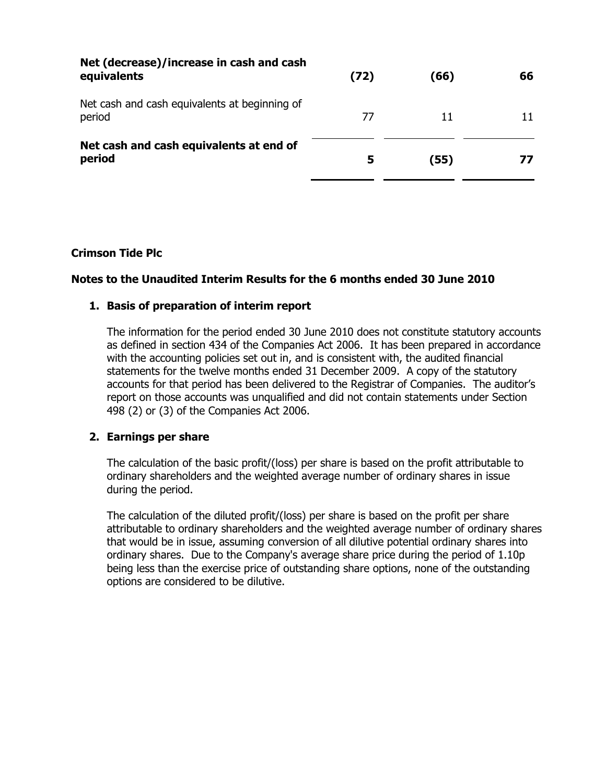| Net (decrease)/increase in cash and cash<br>equivalents | (72) | (66) | 66 |
|---------------------------------------------------------|------|------|----|
| Net cash and cash equivalents at beginning of<br>period | 77   | 11   | 11 |
| Net cash and cash equivalents at end of<br>period       | 5    | (55) | 77 |

### **Crimson Tide Plc**

### **Notes to the Unaudited Interim Results for the 6 months ended 30 June 2010**

### **1. Basis of preparation of interim report**

The information for the period ended 30 June 2010 does not constitute statutory accounts as defined in section 434 of the Companies Act 2006. It has been prepared in accordance with the accounting policies set out in, and is consistent with, the audited financial statements for the twelve months ended 31 December 2009. A copy of the statutory accounts for that period has been delivered to the Registrar of Companies. The auditor's report on those accounts was unqualified and did not contain statements under Section 498 (2) or (3) of the Companies Act 2006.

### **2. Earnings per share**

The calculation of the basic profit/(loss) per share is based on the profit attributable to ordinary shareholders and the weighted average number of ordinary shares in issue during the period.

The calculation of the diluted profit/(loss) per share is based on the profit per share attributable to ordinary shareholders and the weighted average number of ordinary shares that would be in issue, assuming conversion of all dilutive potential ordinary shares into ordinary shares. Due to the Company's average share price during the period of 1.10p being less than the exercise price of outstanding share options, none of the outstanding options are considered to be dilutive.